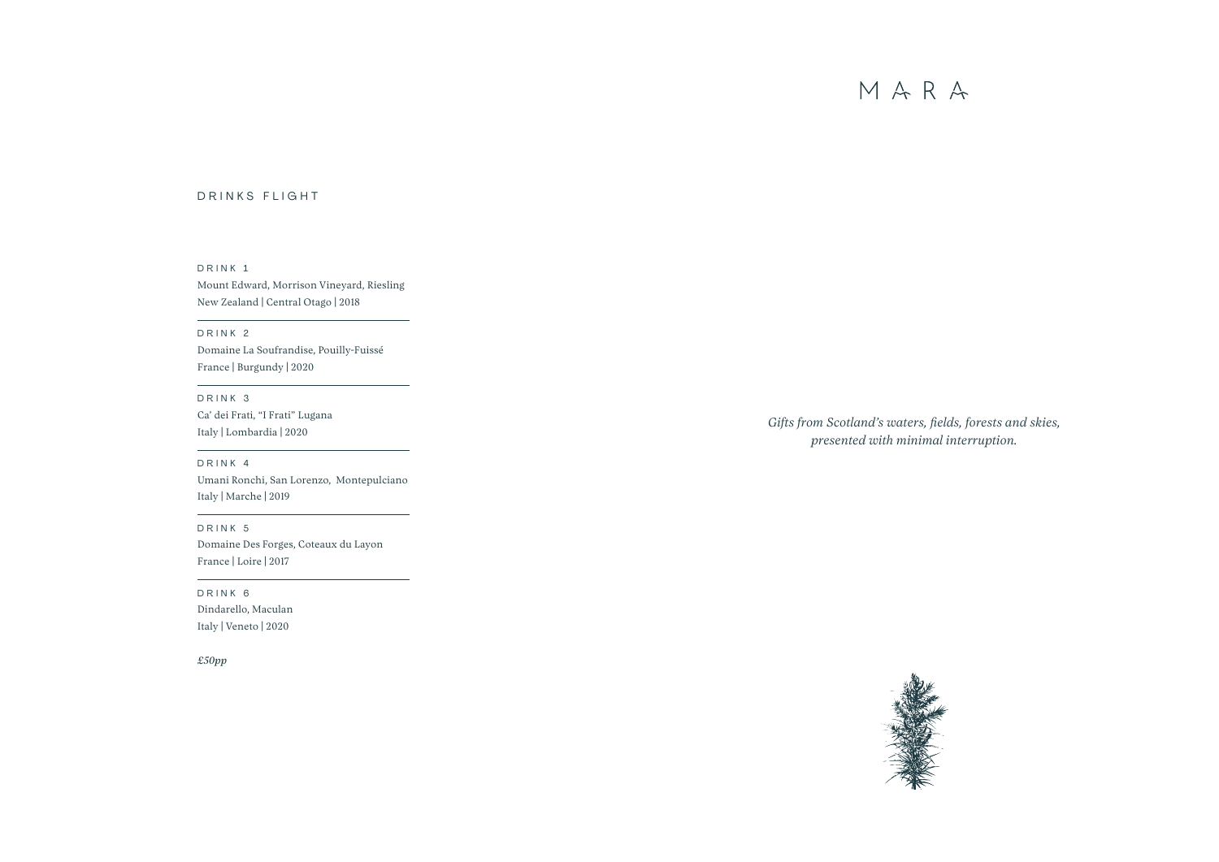# DRINKS FLIGHT

*Gifts from Scotland's waters, fields, forests and skies, presented with minimal interruption.*







## DRINK 1

Mount Edward, Morrison Vineyard, Riesling New Zealand | Central Otago | 2018

# DRINK 2

Domaine La Soufrandise, Pouilly-Fuissé France | Burgundy | 2020

## DRINK 3

Ca' dei Frati, "I Frati" Lugana Italy | Lombardia | 2020

## DRINK 4

Umani Ronchi, San Lorenzo, Montepulciano Italy | Marche | 2019

## DRINK 5

Domaine Des Forges, Coteaux du Layon France | Loire | 2017

# DRINK 6

Dindarello, Maculan Italy | Veneto | 2020

*£50pp*